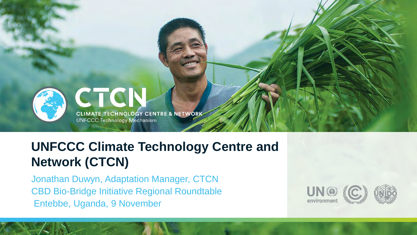

**CTCIN** CLIMATE TECHNOLOGY CENTRE & NETWORK

**UNFCCC Technology Mechanism** 

# **UNFCCC Climate Technology Centre and Network (CTCN)**

Jonathan Duwyn, Adaptation Manager, CTCN CBD Bio-Bridge Initiative Regional Roundtable Entebbe, Uganda, 9 November

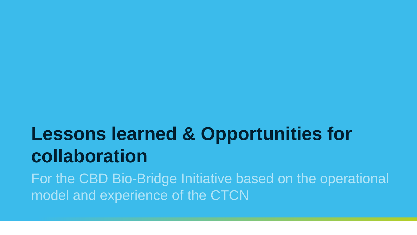# **Lessons learned & Opportunities for collaboration**

For the CBD Bio-Bridge Initiative based on the operational model and experience of the CTCN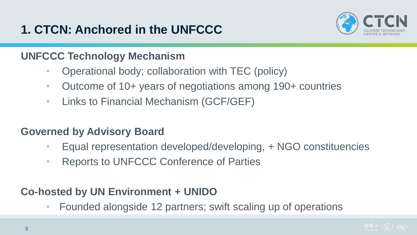

#### **UNFCCC Technology Mechanism**

- Operational body; collaboration with TEC (policy)
- Outcome of 10+ years of negotiations among 190+ countries
- Links to Financial Mechanism (GCF/GEF)

#### **Governed by Advisory Board**

- Equal representation developed/developing, + NGO constituencies
- Reports to UNFCCC Conference of Parties

### **Co-hosted by UN Environment + UNIDO**

• Founded alongside 12 partners; swift scaling up of operations

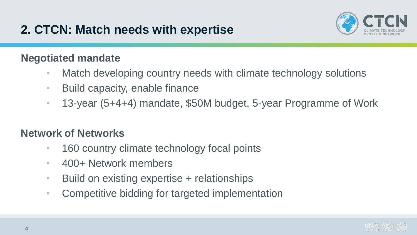# **2. CTCN: Match needs with expertise**



#### **Negotiated mandate**

- Match developing country needs with climate technology solutions
- Build capacity, enable finance
- 13-year (5+4+4) mandate, \$50M budget, 5-year Programme of Work

### **Network of Networks**

- 160 country climate technology focal points
- 400+ Network members
- Build on existing expertise + relationships
- Competitive bidding for targeted implementation

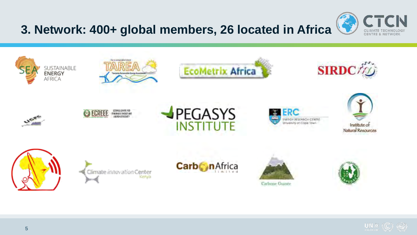# **3. Network: 400+ global members, 26 located in Africa**



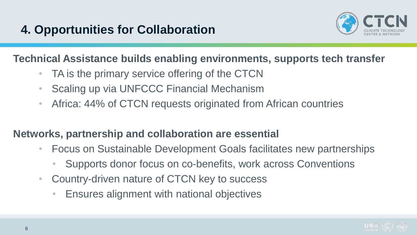

#### **Technical Assistance builds enabling environments, supports tech transfer**

- TA is the primary service offering of the CTCN
- Scaling up via UNFCCC Financial Mechanism
- Africa: 44% of CTCN requests originated from African countries

#### **Networks, partnership and collaboration are essential**

- Focus on Sustainable Development Goals facilitates new partnerships
	- Supports donor focus on co-benefits, work across Conventions
- Country-driven nature of CTCN key to success
	- Ensures alignment with national objectives

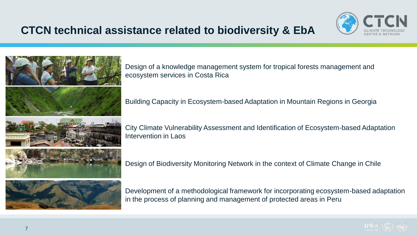### **CTCN technical assistance related to biodiversity & EbA**





Design of a knowledge management system for tropical forests management and ecosystem services in Costa Rica

Building Capacity in Ecosystem-based Adaptation in Mountain Regions in Georgia

City Climate Vulnerability Assessment and Identification of Ecosystem-based Adaptation Intervention in Laos

Design of Biodiversity Monitoring Network in the context of Climate Change in Chile

Development of a methodological framework for incorporating ecosystem-based adaptation in the process of planning and management of protected areas in Peru

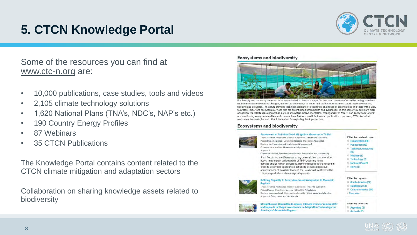# **5. CTCN Knowledge Portal**



Some of the resources you can find at www.ctc-n.org are:

- 10,000 publications, case studies, tools and videos
- 2,105 climate technology solutions
- 1,620 National Plans (TNA's, NDC's, NAP's etc.)
- 190 Country Energy Profiles
- 87 Webinars
- 35 CTCN Publications

The Knowledge Portal contains content related to the CTCN climate mitigation and adaptation sectors

Collaboration on sharing knowledge assets related to biodiversity

#### **Ecosystems and biodiversity**



Biodiversity and our ecosystems are interconnected with climate change. On one hand they are affected by both gradual and sudden climatic and weather changes, and on the other serve as important buffers from extreme events such as wildfires, flooding and droughts. The CTCN provides technical assistance to countries' on a range of technologies and tools with a view to protect important ecosystem services that are essential to human health and livelihoods. In this sector you can learn more about how the CTCN uses approaches such as ecosystem-based adaptation, management of forests and ecosystem services and monitoring ecosystem resilience of communities. Below you will find related publications, partners, CTCN technical assistance, technologies and other information for exploring this topic further.

#### **Ecosystems and biodiversity**



Assessment of Sultable Flood Mitigation Measures in Tbilisi Type: Technical Assistance Date of submission: Thursday 9 June 2016 Phase: Implementation Countries: Georgia Objective: Adaptation Sectors: Early warning and Environmental assessment Cross-sectoral enabler: Governance and planning Annmach Community based, Disaster risk reduction, Ecosystems and biodiversity

Flash floods and mudflows occurring on small rivers as a result of heavy rains impact various parts of Tbilisi, causing heavy damage and/or human casualties. Recommendations are needed in order to determine appropriate actions to prevent disastrous consequences of possible floods of the Tsavkisiskhevi River within Tbilisi, as part of climate change adaptation.



Building Capacity in Ecosystem-based Adaptation in Mountair **Regions** Type: Technical Assistance Date of submission: Friday 10 June 2016 Phase: Design Countries: Georgia Objective: Adaptation

Sectors: Cross-sectoral Cross-sectoral enabler: Governance and planning Approach: Ecosystems and blodiversity



Filter by country: **Strengthening Capacities to Assess Climate Change Vulnerability** and Impacts to Shape Investments In Adaptation Technology for Argentina (3) **Azerballan's Mountain Regions** Australia (2)



Filter by regions: South America (52) Caribbean (44) Central America (44) Show more

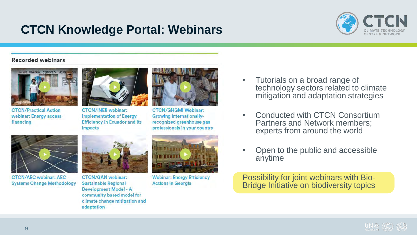## **CTCN Knowledge Portal: Webinars**



#### **Recorded webinars**



**CTCN/Practical Action** webinar: Energy access financing



**CTCN/INER** webinar: **Implementation of Energy Efficiency in Ecuador and its** impacts



**CTCN/GHGMI Webinar: Growing internationally**recognized greenhouse gas professionals in your country

**CTCN/AEC webinar: AEC Systems Change Methodology** 



**CTCN/GAN** webinar: **Sustainable Regional Development Model - A** community based model for climate change mitigation and adaptation



**Webinar: Energy Efficiency Actions in Georgia** 

- Tutorials on a broad range of technology sectors related to climate mitigation and adaptation strategies
- Conducted with CTCN Consortium Partners and Network members; experts from around the world
- Open to the public and accessible anytime

Possibility for joint webinars with Bio-Bridge Initiative on biodiversity topics